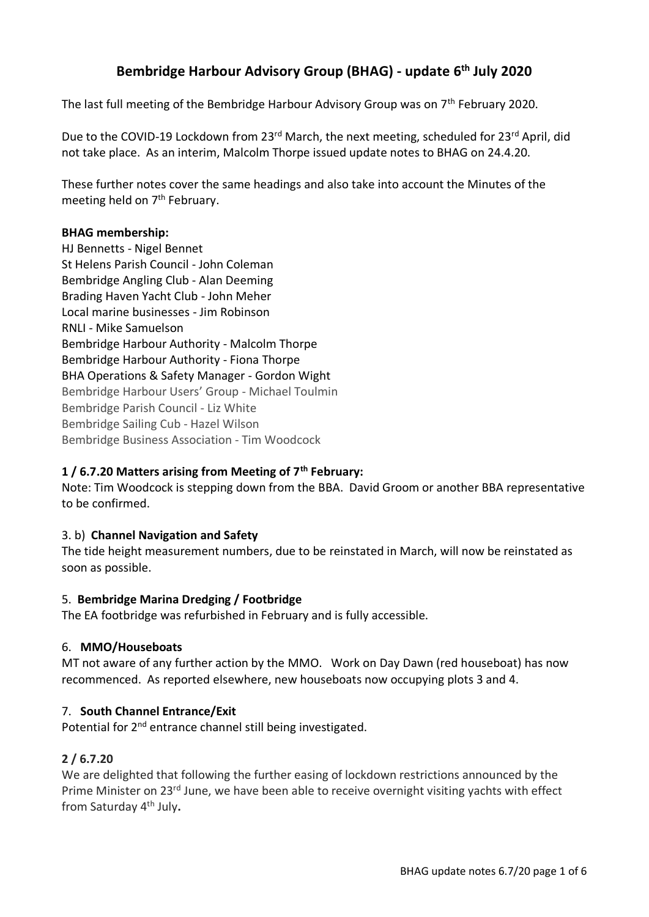# **Bembridge Harbour Advisory Group (BHAG) - update 6th July 2020**

The last full meeting of the Bembridge Harbour Advisory Group was on 7<sup>th</sup> February 2020.

Due to the COVID-19 Lockdown from 23<sup>rd</sup> March, the next meeting, scheduled for 23<sup>rd</sup> April, did not take place. As an interim, Malcolm Thorpe issued update notes to BHAG on 24.4.20.

These further notes cover the same headings and also take into account the Minutes of the meeting held on 7<sup>th</sup> February.

#### **BHAG membership:**

HJ Bennetts - Nigel Bennet St Helens Parish Council - John Coleman Bembridge Angling Club - Alan Deeming Brading Haven Yacht Club - John Meher Local marine businesses - Jim Robinson RNLI - Mike Samuelson Bembridge Harbour Authority - Malcolm Thorpe Bembridge Harbour Authority - Fiona Thorpe BHA Operations & Safety Manager - Gordon Wight Bembridge Harbour Users' Group - Michael Toulmin Bembridge Parish Council - Liz White Bembridge Sailing Cub - Hazel Wilson Bembridge Business Association - Tim Woodcock

#### **1 / 6.7.20 Matters arising from Meeting of 7th February:**

Note: Tim Woodcock is stepping down from the BBA. David Groom or another BBA representative to be confirmed.

#### 3. b) **Channel Navigation and Safety**

The tide height measurement numbers, due to be reinstated in March, will now be reinstated as soon as possible.

#### 5. **Bembridge Marina Dredging / Footbridge**

The EA footbridge was refurbished in February and is fully accessible.

#### 6. **MMO/Houseboats**

MT not aware of any further action by the MMO. Work on Day Dawn (red houseboat) has now recommenced. As reported elsewhere, new houseboats now occupying plots 3 and 4.

#### 7. **South Channel Entrance/Exit**

Potential for 2<sup>nd</sup> entrance channel still being investigated.

#### **2 / 6.7.20**

We are delighted that following the further easing of lockdown restrictions announced by the Prime Minister on 23<sup>rd</sup> June, we have been able to receive overnight visiting yachts with effect from Saturday 4th July**.**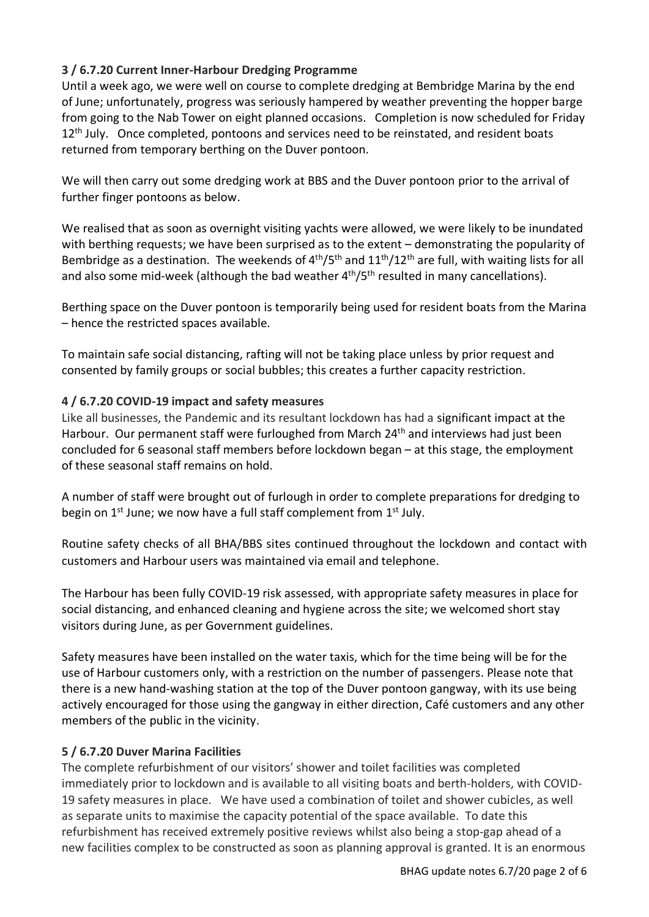## **3 / 6.7.20 Current Inner-Harbour Dredging Programme**

Until a week ago, we were well on course to complete dredging at Bembridge Marina by the end of June; unfortunately, progress was seriously hampered by weather preventing the hopper barge from going to the Nab Tower on eight planned occasions. Completion is now scheduled for Friday 12<sup>th</sup> July. Once completed, pontoons and services need to be reinstated, and resident boats returned from temporary berthing on the Duver pontoon.

We will then carry out some dredging work at BBS and the Duver pontoon prior to the arrival of further finger pontoons as below.

We realised that as soon as overnight visiting yachts were allowed, we were likely to be inundated with berthing requests; we have been surprised as to the extent – demonstrating the popularity of Bembridge as a destination. The weekends of  $4<sup>th</sup>/5<sup>th</sup>$  and  $11<sup>th</sup>/12<sup>th</sup>$  are full, with waiting lists for all and also some mid-week (although the bad weather  $4<sup>th</sup>/5<sup>th</sup>$  resulted in many cancellations).

Berthing space on the Duver pontoon is temporarily being used for resident boats from the Marina – hence the restricted spaces available.

To maintain safe social distancing, rafting will not be taking place unless by prior request and consented by family groups or social bubbles; this creates a further capacity restriction.

### **4 / 6.7.20 COVID-19 impact and safety measures**

Like all businesses, the Pandemic and its resultant lockdown has had a significant impact at the Harbour. Our permanent staff were furloughed from March 24<sup>th</sup> and interviews had just been concluded for 6 seasonal staff members before lockdown began – at this stage, the employment of these seasonal staff remains on hold.

A number of staff were brought out of furlough in order to complete preparations for dredging to begin on 1<sup>st</sup> June; we now have a full staff complement from 1<sup>st</sup> July.

Routine safety checks of all BHA/BBS sites continued throughout the lockdown and contact with customers and Harbour users was maintained via email and telephone.

The Harbour has been fully COVID-19 risk assessed, with appropriate safety measures in place for social distancing, and enhanced cleaning and hygiene across the site; we welcomed short stay visitors during June, as per Government guidelines.

Safety measures have been installed on the water taxis, which for the time being will be for the use of Harbour customers only, with a restriction on the number of passengers. Please note that there is a new hand-washing station at the top of the Duver pontoon gangway, with its use being actively encouraged for those using the gangway in either direction, Café customers and any other members of the public in the vicinity.

### **5 / 6.7.20 Duver Marina Facilities**

The complete refurbishment of our visitors' shower and toilet facilities was completed immediately prior to lockdown and is available to all visiting boats and berth-holders, with COVID-19 safety measures in place. We have used a combination of toilet and shower cubicles, as well as separate units to maximise the capacity potential of the space available. To date this refurbishment has received extremely positive reviews whilst also being a stop-gap ahead of a new facilities complex to be constructed as soon as planning approval is granted. It is an enormous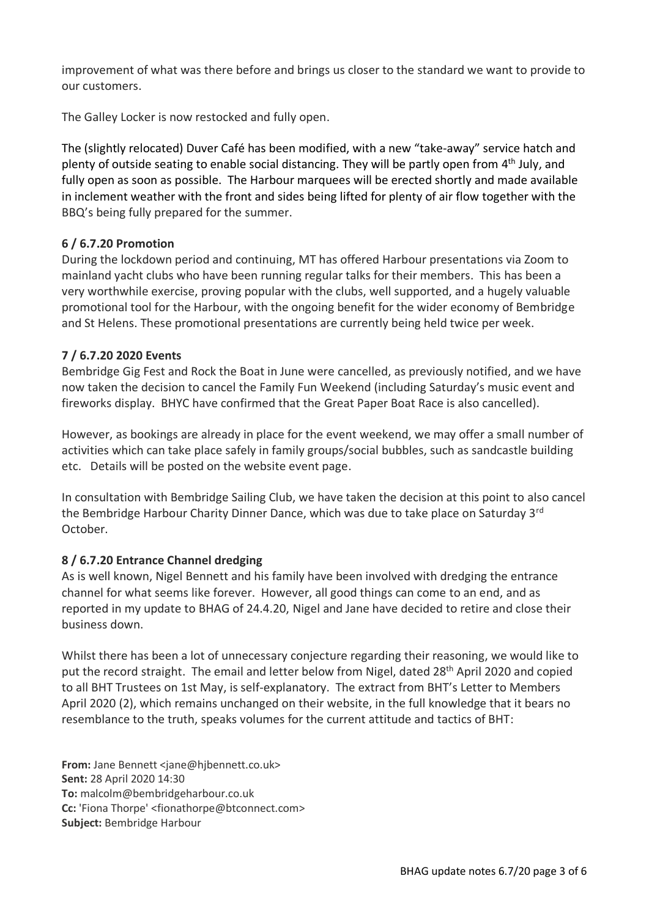improvement of what was there before and brings us closer to the standard we want to provide to our customers.

The [Galley Locker](http://bembridgeharbour.co.uk/shoreside) is now restocked and fully open.

The (slightly relocated) [Duver Café](http://bembridgeharbour.co.uk/the-harbour/duver-cafe) has been modified, with a new "take-away" service hatch and plenty of outside seating to enable social distancing. They will be partly open from 4<sup>th</sup> July, and fully open as soon as possible. The Harbour marquees will be erected shortly and made available in inclement weather with the front and sides being lifted for plenty of air flow together with the BBQ's being fully prepared for the summer.

### **6 / 6.7.20 Promotion**

During the lockdown period and continuing, MT has offered Harbour presentations via Zoom to mainland yacht clubs who have been running regular talks for their members. This has been a very worthwhile exercise, proving popular with the clubs, well supported, and a hugely valuable promotional tool for the Harbour, with the ongoing benefit for the wider economy of Bembridge and St Helens. These promotional presentations are currently being held twice per week.

## **7 / 6.7.20 2020 Events**

Bembridge Gig Fest and Rock the Boat in June were cancelled, as previously notified, and we have now taken the decision to cancel the Family Fun Weekend (including Saturday's music event and fireworks display. BHYC have confirmed that the Great Paper Boat Race is also cancelled).

However, as bookings are already in place for the event weekend, we may offer a small number of activities which can take place safely in family groups/social bubbles, such as sandcastle building etc. Details will be posted on the website event page.

In consultation with Bembridge Sailing Club, we have taken the decision at this point to also cancel the Bembridge Harbour Charity Dinner Dance, which was due to take place on Saturday 3<sup>rd</sup> October.

### **8 / 6.7.20 Entrance Channel dredging**

As is well known, Nigel Bennett and his family have been involved with dredging the entrance channel for what seems like forever. However, all good things can come to an end, and as reported in my update to BHAG of 24.4.20, Nigel and Jane have decided to retire and close their business down.

Whilst there has been a lot of unnecessary conjecture regarding their reasoning, we would like to put the record straight. The email and letter below from Nigel, dated 28<sup>th</sup> April 2020 and copied to all BHT Trustees on 1st May, is self-explanatory. The extract from BHT's Letter to Members April 2020 (2), which remains unchanged on their website, in the full knowledge that it bears no resemblance to the truth, speaks volumes for the current attitude and tactics of BHT:

**From:** Jane Bennett <jane@hjbennett.co.uk> **Sent:** 28 April 2020 14:30 **To:** malcolm@bembridgeharbour.co.uk **Cc:** 'Fiona Thorpe' <fionathorpe@btconnect.com> **Subject:** Bembridge Harbour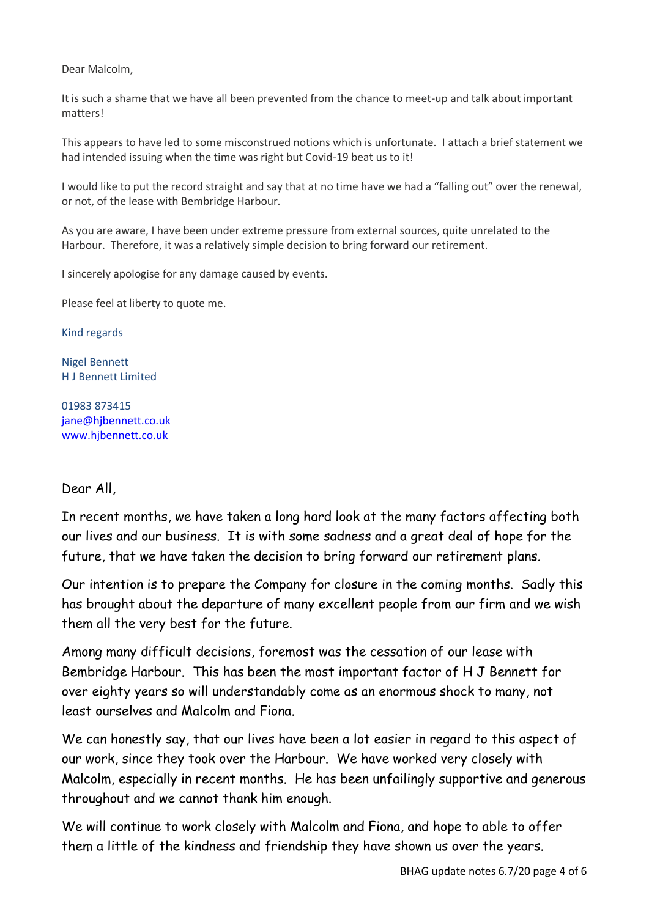Dear Malcolm,

It is such a shame that we have all been prevented from the chance to meet-up and talk about important matters!

This appears to have led to some misconstrued notions which is unfortunate. I attach a brief statement we had intended issuing when the time was right but Covid-19 beat us to it!

I would like to put the record straight and say that at no time have we had a "falling out" over the renewal, or not, of the lease with Bembridge Harbour.

As you are aware, I have been under extreme pressure from external sources, quite unrelated to the Harbour. Therefore, it was a relatively simple decision to bring forward our retirement.

I sincerely apologise for any damage caused by events.

Please feel at liberty to quote me.

Kind regards

Nigel Bennett H J Bennett Limited

01983 873415 [jane@hjbennett.co.uk](mailto:jane@hjbennett.co.uk) [www.hjbennett.co.uk](http://www.hjbennett.co.uk/)

### Dear All,

In recent months, we have taken a long hard look at the many factors affecting both our lives and our business. It is with some sadness and a great deal of hope for the future, that we have taken the decision to bring forward our retirement plans.

Our intention is to prepare the Company for closure in the coming months. Sadly this has brought about the departure of many excellent people from our firm and we wish them all the very best for the future.

Among many difficult decisions, foremost was the cessation of our lease with Bembridge Harbour. This has been the most important factor of H J Bennett for over eighty years so will understandably come as an enormous shock to many, not least ourselves and Malcolm and Fiona.

We can honestly say, that our lives have been a lot easier in regard to this aspect of our work, since they took over the Harbour. We have worked very closely with Malcolm, especially in recent months. He has been unfailingly supportive and generous throughout and we cannot thank him enough.

We will continue to work closely with Malcolm and Fiona, and hope to able to offer them a little of the kindness and friendship they have shown us over the years.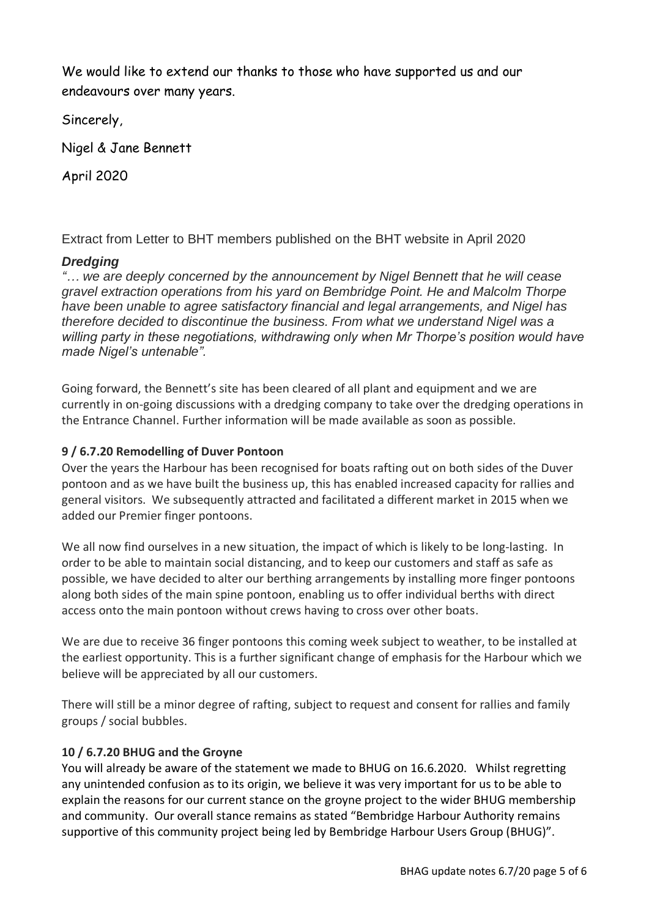We would like to extend our thanks to those who have supported us and our endeavours over many years.

Sincerely,

Nigel & Jane Bennett

April 2020

Extract from Letter to BHT members published on the BHT website in April 2020

## *Dredging*

*"… we are deeply concerned by the announcement by Nigel Bennett that he will cease gravel extraction operations from his yard on Bembridge Point. He and Malcolm Thorpe have been unable to agree satisfactory financial and legal arrangements, and Nigel has therefore decided to discontinue the business. From what we understand Nigel was a willing party in these negotiations, withdrawing only when Mr Thorpe's position would have made Nigel's untenable".*

Going forward, the Bennett's site has been cleared of all plant and equipment and we are currently in on-going discussions with a dredging company to take over the dredging operations in the Entrance Channel. Further information will be made available as soon as possible.

## **9 / 6.7.20 Remodelling of Duver Pontoon**

Over the years the Harbour has been recognised for boats rafting out on both sides of the Duver pontoon and as we have built the business up, this has enabled increased capacity for rallies and general visitors. We subsequently attracted and facilitated a different market in 2015 when we added our Premier finger pontoons.

We all now find ourselves in a new situation, the impact of which is likely to be long-lasting. In order to be able to maintain social distancing, and to keep our customers and staff as safe as possible, we have decided to alter our berthing arrangements by installing more finger pontoons along both sides of the main spine pontoon, enabling us to offer individual berths with direct access onto the main pontoon without crews having to cross over other boats.

We are due to receive 36 finger pontoons this coming week subject to weather, to be installed at the earliest opportunity. This is a further significant change of emphasis for the Harbour which we believe will be appreciated by all our customers.

There will still be a minor degree of rafting, subject to request and consent for rallies and family groups / social bubbles.

## **10 / 6.7.20 BHUG and the Groyne**

You will already be aware of the statement we made to BHUG on 16.6.2020. Whilst regretting any unintended confusion as to its origin, we believe it was very important for us to be able to explain the reasons for our current stance on the groyne project to the wider BHUG membership and community. Our overall stance remains as stated "Bembridge Harbour Authority remains supportive of this community project being led by Bembridge Harbour Users Group (BHUG)".